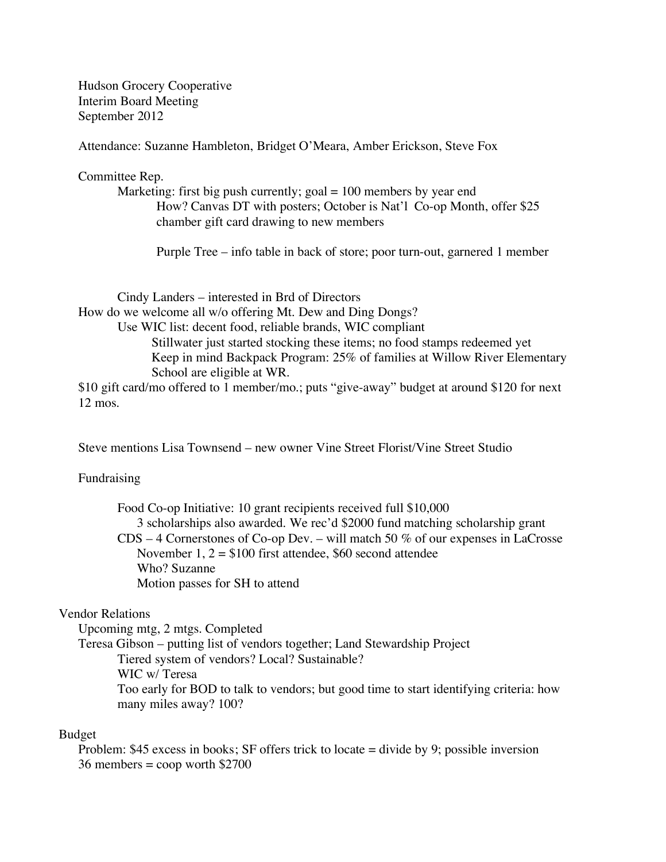Hudson Grocery Cooperative Interim Board Meeting September 2012

Attendance: Suzanne Hambleton, Bridget O'Meara, Amber Erickson, Steve Fox

Committee Rep.

Marketing: first big push currently;  $\text{goal} = 100$  members by year end How? Canvas DT with posters; October is Nat'l Co-op Month, offer \$25 chamber gift card drawing to new members

Purple Tree – info table in back of store; poor turn-out, garnered 1 member

Cindy Landers – interested in Brd of Directors How do we welcome all w/o offering Mt. Dew and Ding Dongs? Use WIC list: decent food, reliable brands, WIC compliant Stillwater just started stocking these items; no food stamps redeemed yet Keep in mind Backpack Program: 25% of families at Willow River Elementary School are eligible at WR. \$10 gift card/mo offered to 1 member/mo.; puts "give-away" budget at around \$120 for next 12 mos.

Steve mentions Lisa Townsend – new owner Vine Street Florist/Vine Street Studio

## Fundraising

Food Co-op Initiative: 10 grant recipients received full \$10,000 3 scholarships also awarded. We rec'd \$2000 fund matching scholarship grant CDS – 4 Cornerstones of Co-op Dev. – will match 50 % of our expenses in LaCrosse November  $1, 2 = $100$  first attendee, \$60 second attendee Who? Suzanne Motion passes for SH to attend

## Vendor Relations

Upcoming mtg, 2 mtgs. Completed

Teresa Gibson – putting list of vendors together; Land Stewardship Project Tiered system of vendors? Local? Sustainable? WIC w/ Teresa Too early for BOD to talk to vendors; but good time to start identifying criteria: how many miles away? 100?

#### Budget

Problem: \$45 excess in books; SF offers trick to locate = divide by 9; possible inversion  $36$  members = coop worth \$2700